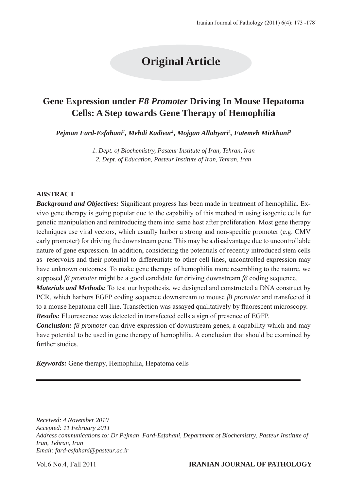# **Original Article**

# **Gene Expression under** *F8 Promoter* **Driving In Mouse Hepatoma Cells: A Step towards Gene Therapy of Hemophilia**

*Pejman Fard-Esfahani1 , Mehdi Kadivar1 , Mojgan Allahyari2 , Fatemeh Mirkhani2*

*1. Dept. of Biochemistry, Pasteur Institute of Iran, Tehran, Iran 2. Dept. of Education, Pasteur Institute of Iran, Tehran, Iran*

#### **ABSTRACT**

*Background and Objectives:* Significant progress has been made in treatment of hemophilia. Exvivo gene therapy is going popular due to the capability of this method in using isogenic cells for genetic manipulation and reintroducing them into same host after proliferation. Most gene therapy techniques use viral vectors, which usually harbor a strong and non-specific promoter (e.g. CMV early promoter) for driving the downstream gene. This may be a disadvantage due to uncontrollable nature of gene expression. In addition, considering the potentials of recently introduced stem cells as reservoirs and their potential to differentiate to other cell lines, uncontrolled expression may have unknown outcomes. To make gene therapy of hemophilia more resembling to the nature, we supposed *f8 promoter* might be a good candidate for driving downstream *f8* coding sequence.

*Materials and Methods:* To test our hypothesis, we designed and constructed a DNA construct by PCR, which harbors EGFP coding sequence downstream to mouse *f8 promoter* and transfected it to a mouse hepatoma cell line. Transfection was assayed qualitatively by fluorescent microscopy. *Results:* Fluorescence was detected in transfected cells a sign of presence of EGFP.

*Conclusion: f8 promoter* can drive expression of downstream genes, a capability which and may have potential to be used in gene therapy of hemophilia. A conclusion that should be examined by further studies.

*Keywords:* Gene therapy, Hemophilia, Hepatoma cells

*Received: 4 November 2010 Accepted: 11 February 2011 Address communications to: Dr Pejman Fard-Esfahani, Department of Biochemistry, Pasteur Institute of Iran, Tehran, Iran Email: fard-esfahani@pasteur.ac.ir*

#### Vol.6 No.4, Fall 2011 **IRANIAN JOURNAL OF PATHOLOGY**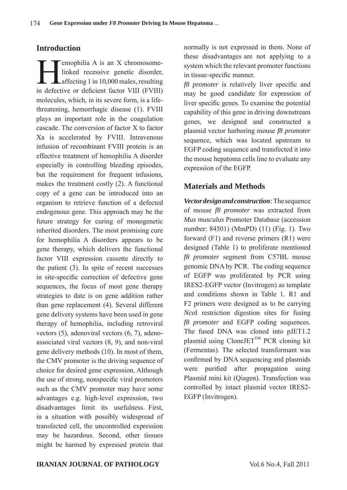#### **Introduction**

Emophilia A is an X chromosome-<br>linked recessive genetic disorder,<br>affecting 1 in 10,000 males, resulting<br>in defective or defeated fector VIII (EVIII) linked recessive genetic disorder, Laffecting 1 in 10,000 males, resulting in defective or deficient factor VIII (FVIII) molecules, which, in its severe form, is a lifethreatening, hemorrhagic disease (1). FVIII plays an important role in the coagulation cascade. The conversion of factor X to factor Xa is accelerated by FVIII. Intravenous infusion of recombinant FVIII protein is an effective treatment of hemophilia A disorder especially in controlling bleeding episodes, but the requirement for frequent infusions, makes the treatment costly (2). A functional copy of a gene can be introduced into an organism to retrieve function of a defected endogenous gene. This approach may be the future strategy for curing of monogenetic inherited disorders. The most promising cure for hemophilia A disorders appears to be gene therapy, which delivers the functional factor VIII expression cassette directly to the patient (3). In spite of recent successes in site-specific correction of defective gene sequences, the focus of most gene therapy strategies to date is on gene addition rather than gene replacement (4). Several different gene delivery systems have been used in gene therapy of hemophilia, including retroviral vectors (5), adenoviral vectors (6, 7), adenoassociated viral vectors (8, 9), and non-viral gene delivery methods (10). In most of them, the CMV promoter is the driving sequence of choice for desired gene expression. Although the use of strong, nonspecific viral promoters such as the CMV promoter may have some advantages e.g. high-level expression, two disadvantages limit its usefulness. First, in a situation with possibly widespread of transfected cell, the uncontrolled expression may be hazardous. Second, other tissues might be harmed by expressed protein that

normally is not expressed in them. None of these disadvantages are not applying to a system which the relevant promoter functions in tissue-specific manner.

*f8 promoter* is relatively liver specific and may be good candidate for expression of liver specific genes. To examine the potential capability of this gene in driving downstream genes, we designed and constructed a plasmid vector harboring mouse *f8 promoter* sequence, which was located upstream to EGFP coding sequence and transfected it into the mouse hepatoma cells line to evaluate any expression of the EGFP.

### **Materials and Methods**

*Vector design and construction:* The sequence of mouse *f8 promoter* was extracted from *Mus musculus* Promoter Database (accession number: 84501) (MmPD) (11) (Fig. 1). Two forward (F1) and reverse primers (R1) were designed (Table 1) to proliferate mentioned *f8 promoter* segment from C57BL mouse genomic DNA by PCR. The coding sequence of EGFP was proliferated by PCR using IRES2-EGFP vector (Invitrogen) as template and conditions shown in Table 1. R1 and F2 primers were designed as to be carrying *Nco*I restriction digestion sites for fusing *f8 promoter* and EGFP coding sequences. The fused DNA was cloned into pJET1.2 plasmid using  $C$ loneJET<sup>TM</sup> PCR cloning kit (Fermentas). The selected transformant was confirmed by DNA sequencing and plasmids were purified after propagation using Plasmid mini kit (Qiagen). Transfection was controlled by intact plasmid vector IRES2-EGFP (Invitrogen).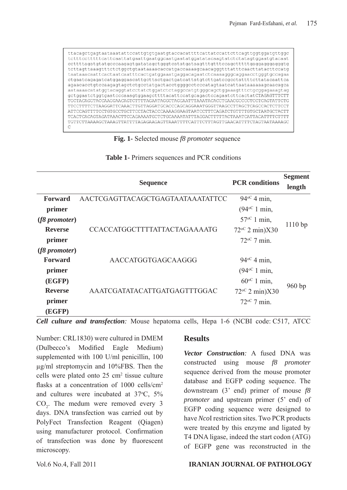ttacagctgagtaataaatattccattgtgtgaatgtaccacattttcattatccattcttcagttggtggatgttggc tctttcctttttcattcaattatgaattgaatggcaatgaatatggatatacaagtatctctatagtggaatgtacaat tcttagttaaagtttctctggctgtaataaaacaccatgaccaaaagcaacagggtttatttcaacttatacttccatg taataaacaattcactaatcaatttcactgatggaaatgaggacagaatctcaaaagggcaggaacctgggtgccagaa  ${\tt ctgaataagagataatggagaacattgottactgactgataattatytottgatecogcctattttettatacaattca}$ agaacacctgtccaagagtagctctgcctatgactacctggggcctcccatagtaatcattaataaaaaagcaacagca aataaaacatatggtacaggtatcctatctggatctctaggccatgtgggcagctggaaagtttctgcggagaaagtag gctggaatctggtgaatcccaaagtggaagcttttacattccatgcagactccagaatcttcactatCTAGAGTTTCTT TGCTACAGGTACCAAGGAACAGTCTTTTAGAATAGGCTAGGAATTTAAATACACCTGAACGCCCCTCCTCAGTATTCTG TTCCTTTTCTTAAGGATTCAAACTTGTTAGGATGCACCCAGCAGGAAATGGGTTAAGCCTTAGCTCAGCCACTCTTCCT  ${\tt ATTCCAGTTTTCCTGTCCTGCTTTCTACTACCCAAAAGGAAGTAATCCTTTCAGATCTGTTTTGGCTAATGCTACTT$ TCACTCACAGTAGATAAACTTCCAGAAAATGCTCTGCAAAATATTTAGGACTTTTTACTAAATCATTACATTTTCTTTT TGTTCTTAAAAGCTAAAGTTATTTTAGAGAAGAGTTAAATTTTCATTTCTTTAGTTGAACATTTTCTAGTAATAAAAGC C

**Fig. 1-** Selected mouse *f8 promoter* sequence

|                | <b>Sequence</b>                     | <b>PCR</b> conditions   | <b>Segment</b> |
|----------------|-------------------------------------|-------------------------|----------------|
|                |                                     |                         | length         |
| <b>Forward</b> | AACTCGAGTTACAGCTGAGTAATAAATATTCC    | $94^{\circ}$ 4 min,     |                |
| primer         |                                     | $(94^{\circ}C)$ 1 min,  |                |
| (f8 promoter)  |                                     | $57^{\circ}$ 1 min,     | 1110bp         |
| <b>Reverse</b> | <b>CCACCATGGCTTTTATTACTAGAAAATG</b> | $72^{\circ}$ 2 min)X30  |                |
| primer         |                                     | $72^{\circ}$ 7 min.     |                |
| (f8 promoter)  |                                     |                         |                |
| <b>Forward</b> | AACCATGGTGAGCAAGGG                  | $94^{\circ}$ 4 min,     |                |
| primer         | AAATCGATATACATTGATGAGTTTGGAC        | $(94^{\circ}C)$ 1 min,  | 960bp          |
| (EGFP)         |                                     | $60^{\circ}$ 1 min,     |                |
| <b>Reverse</b> |                                     | $72^{\circ}$ 2 min) X30 |                |
| primer         |                                     | $72^{\circ}$ 7 min.     |                |
| (EGFP)         |                                     |                         |                |

**Table 1-** Primers sequences and PCR conditions

*Cell culture and transfection:* Mouse hepatoma cells, Hepa 1-6 (NCBI code: C517, ATCC

Number: CRL1830) were cultured in DMEM (Dulbecco's Modified Eagle Medium) supplemented with 100 U/ml penicillin, 100 μg/ml streptomycin and 10%FBS. Then the cells were plated onto  $25 \text{ cm}^2$  tissue culture flasks at a concentration of 1000 cells/cm<sup>2</sup> and cultures were incubated at 37°C, 5%  $CO<sub>2</sub>$ . The medum were removed every 3 days. DNA transfection was carried out by PolyFect Transfection Reagent (Qiagen) using manufacturer protocol. Confirmation of transfection was done by fluorescent microscopy.

### **Results**

*Vector Construction:* A fused DNA was constructed using mouse *f8 promoter* sequence derived from the mouse promoter database and EGFP coding sequence. The downstream (3' end) primer of mouse *f8 promoter* and upstream primer (5' end) of EGFP coding sequence were designed to have *Nco*I restriction sites. Two PCR products were treated by this enzyme and ligated by T4 DNA ligase, indeed the start codon (ATG) of EGFP gene was reconstructed in the

#### Vol.6 No.4, Fall 2011 **IRANIAN JOURNAL OF PATHOLOGY**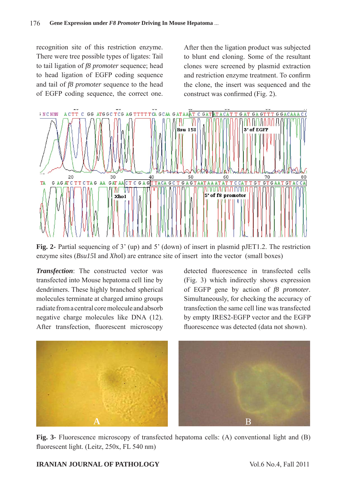recognition site of this restriction enzyme. There were tree possible types of ligates: Tail to tail ligation of *f8 promoter* sequence; head to head ligation of EGFP coding sequence and tail of *f8 promoter* sequence to the head of EGFP coding sequence, the correct one.

After then the ligation product was subjected to blunt end cloning. Some of the resultant clones were screened by plasmid extraction and restriction enzyme treatment. To confirm the clone, the insert was sequenced and the construct was confirmed (Fig. 2).



**Fig. 2-** Partial sequencing of 3' (up) and 5' (down) of insert in plasmid pJET1.2. The restriction enzyme sites (*Bsu15*I and *Xho*I) are entrance site of insert into the vector (small boxes)

*Transfection*: The constructed vector was transfected into Mouse hepatoma cell line by dendrimers. These highly branched spherical molecules terminate at charged amino groups radiate from a central core molecule and absorb negative charge molecules like DNA (12). After transfection, fluorescent microscopy detected fluorescence in transfected cells (Fig. 3) which indirectly shows expression of EGFP gene by action of *f8 promoter*. Simultaneously, for checking the accuracy of transfection the same cell line was transfected by empty IRES2-EGFP vector and the EGFP fluorescence was detected (data not shown).



**Fig. 3-** Fluorescence microscopy of transfected hepatoma cells: (A) conventional light and (B) fluorescent light. (Leitz, 250x, FL 540 nm)

#### **IRANIAN JOURNAL OF PATHOLOGY** Vol.6 No.4, Fall 2011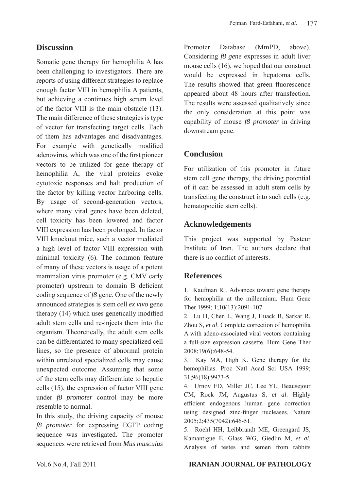## **Discussion**

Somatic gene therapy for hemophilia A has been challenging to investigators. There are reports of using different strategies to replace enough factor VIII in hemophilia A patients, but achieving a continues high serum level of the factor VIII is the main obstacle (13). The main difference of these strategies is type of vector for transfecting target cells. Each of them has advantages and disadvantages. For example with genetically modified adenovirus, which was one of the first pioneer vectors to be utilized for gene therapy of hemophilia A, the viral proteins evoke cytotoxic responses and halt production of the factor by killing vector harboring cells. By usage of second-generation vectors, where many viral genes have been deleted, cell toxicity has been lowered and factor VIII expression has been prolonged. In factor VIII knockout mice, such a vector mediated a high level of factor VIII expression with minimal toxicity (6). The common feature of many of these vectors is usage of a potent mammalian virus promoter (e.g. CMV early promoter) upstream to domain B deficient coding sequence of *f8* gene. One of the newly announced strategies is stem cell *ex vivo* gene therapy (14) which uses genetically modified adult stem cells and re-injects them into the organism. Theoretically, the adult stem cells can be differentiated to many specialized cell lines, so the presence of abnormal protein within unrelated specialized cells may cause unexpected outcome. Assuming that some of the stem cells may differentiate to hepatic cells (15), the expression of factor VIII gene under *f8 promoter* control may be more resemble to normal.

In this study, the driving capacity of mouse *f8 promoter* for expressing EGFP coding sequence was investigated. The promoter sequences were retrieved from *Mus musculus*

Promoter Database (MmPD, above). Considering *f8 gene* expresses in adult liver mouse cells (16), we hoped that our construct would be expressed in hepatoma cells. The results showed that green fluorescence appeared about 48 hours after transfection. The results were assessed qualitatively since the only consideration at this point was capability of mouse *f8 promoter* in driving downstream gene.

## **Conclusion**

For utilization of this promoter in future stem cell gene therapy, the driving potential of it can be assessed in adult stem cells by transfecting the construct into such cells (e.g. hematopoeitic stem cells).

# **Acknowledgements**

This project was supported by Pasteur Institute of Iran. The authors declare that there is no conflict of interests.

# **References**

1. Kaufman RJ. Advances toward gene therapy for hemophilia at the millennium. Hum Gene Ther 1999; 1;10(13):2091-107.

2. Lu H, Chen L, Wang J, Huack B, Sarkar R, Zhou S, *et al*. Complete correction of hemophilia A with adeno-associated viral vectors containing a full-size expression cassette. Hum Gene Ther 2008;19(6):648-54.

3. Kay MA, High K. Gene therapy for the hemophilias. Proc Natl Acad Sci USA 1999; 31;96(18):9973-5.

4. Urnov FD, Miller JC, Lee YL, Beausejour CM, Rock JM, Augustus S, *et al*. Highly efficient endogenous human gene correction using designed zinc-finger nucleases. Nature 2005;2;435(7042):646-51.

5. Roehl HH, Leibbrandt ME, Greengard JS, Kamantigue E, Glass WG, Giedlin M, *et al*. Analysis of testes and semen from rabbits

### Vol.6 No.4, Fall 2011 **IRANIAN JOURNAL OF PATHOLOGY**